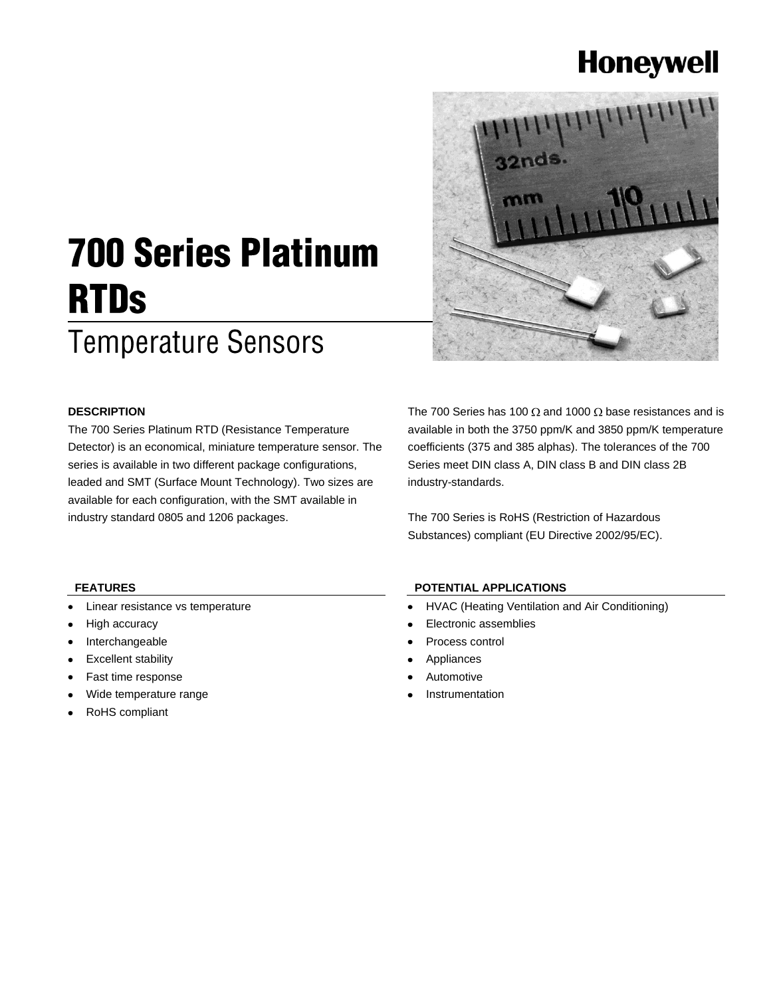## **Honeywell**



# **700 Series Platinum RTDs**

## **Temperature Sensors**

## **DESCRIPTION**

The 700 Series Platinum RTD (Resistance Temperature Detector) is an economical, miniature temperature sensor. The series is available in two different package configurations, leaded and SMT (Surface Mount Technology). Two sizes are available for each configuration, with the SMT available in industry standard 0805 and 1206 packages.

The 700 Series has 100  $\Omega$  and 1000  $\Omega$  base resistances and is available in both the 3750 ppm/K and 3850 ppm/K temperature coefficients (375 and 385 alphas). The tolerances of the 700 Series meet DIN class A, DIN class B and DIN class 2B industry-standards.

The 700 Series is RoHS (Restriction of Hazardous Substances) compliant (EU Directive 2002/95/EC).

## **FEATURES**

- Linear resistance vs temperature
- High accuracy
- Interchangeable
- Excellent stability
- Fast time response
- Wide temperature range
- RoHS compliant

### **POTENTIAL APPLICATIONS**

- HVAC (Heating Ventilation and Air Conditioning)  $\bullet$
- Electronic assemblies
- Process control
- Appliances
- Automotive
- Instrumentation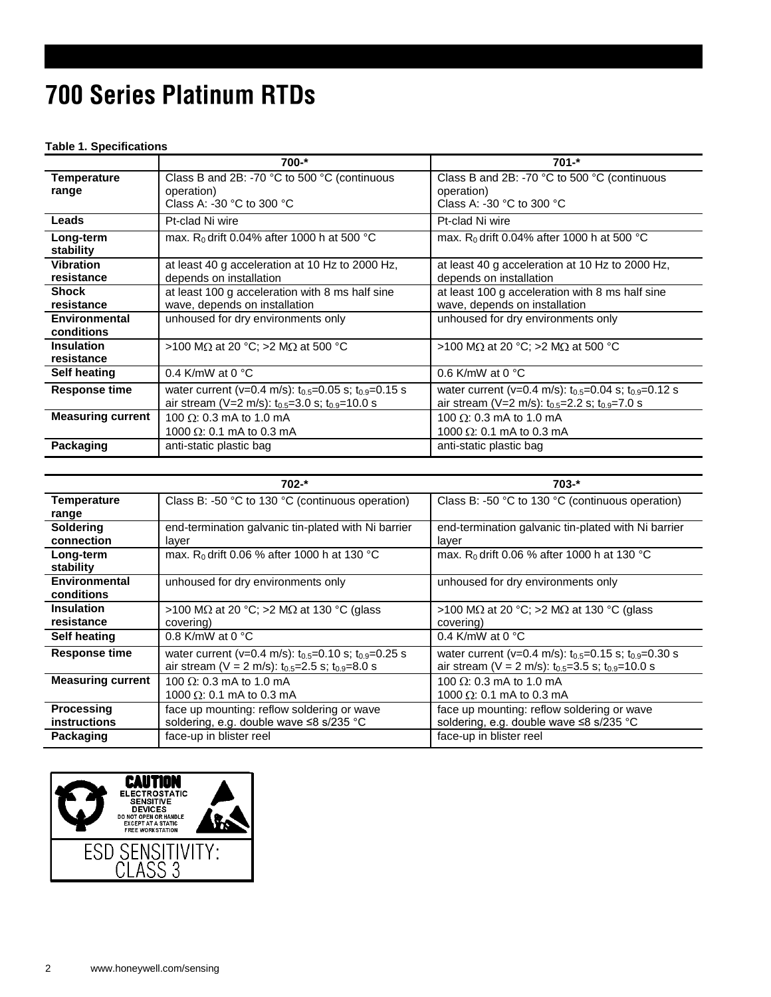## 700 Series Platinum RTDs

### **Table 1. Specifications**

|                          | $700 -$ *                                                       | $701 -$ *                                                       |  |  |
|--------------------------|-----------------------------------------------------------------|-----------------------------------------------------------------|--|--|
| <b>Temperature</b>       | Class B and 2B: -70 °C to 500 °C (continuous                    | Class B and 2B: -70 °C to 500 °C (continuous                    |  |  |
| range                    | operation)                                                      | operation)                                                      |  |  |
|                          | Class A: -30 $^{\circ}$ C to 300 $^{\circ}$ C                   | Class A: -30 $^{\circ}$ C to 300 $^{\circ}$ C                   |  |  |
| Leads                    | Pt-clad Ni wire                                                 | Pt-clad Ni wire                                                 |  |  |
| Long-term                | max. R <sub>0</sub> drift 0.04% after 1000 h at 500 °C          | max. R <sub>0</sub> drift 0.04% after 1000 h at 500 °C          |  |  |
| stability                |                                                                 |                                                                 |  |  |
| <b>Vibration</b>         | at least 40 g acceleration at 10 Hz to 2000 Hz,                 | at least 40 g acceleration at 10 Hz to 2000 Hz,                 |  |  |
| resistance               | depends on installation                                         | depends on installation                                         |  |  |
| <b>Shock</b>             | at least 100 g acceleration with 8 ms half sine                 | at least 100 g acceleration with 8 ms half sine                 |  |  |
| resistance               | wave, depends on installation                                   | wave, depends on installation                                   |  |  |
| Environmental            | unhoused for dry environments only                              | unhoused for dry environments only                              |  |  |
| conditions               |                                                                 |                                                                 |  |  |
| <b>Insulation</b>        | >100 M $\Omega$ at 20 °C; >2 M $\Omega$ at 500 °C               | >100 MΩ at 20 °C; >2 MΩ at 500 °C                               |  |  |
| resistance               |                                                                 |                                                                 |  |  |
| Self heating             | 0.4 K/mW at 0 $^{\circ}$ C<br>0.6 K/mW at 0 $^{\circ}$ C        |                                                                 |  |  |
| <b>Response time</b>     | water current (v=0.4 m/s): $t_{0.5}$ =0.05 s; $t_{0.9}$ =0.15 s | water current (v=0.4 m/s): $t_{0.5}$ =0.04 s; $t_{0.9}$ =0.12 s |  |  |
|                          | air stream (V=2 m/s): $t_{0.5}$ =3.0 s; $t_{0.9}$ =10.0 s       | air stream (V=2 m/s): $t_{0.5}$ =2.2 s; $t_{0.9}$ =7.0 s        |  |  |
| <b>Measuring current</b> | 100 $\Omega$ : 0.3 mA to 1.0 mA                                 | 100 $\Omega$ : 0.3 mA to 1.0 mA                                 |  |  |
|                          | 1000 $\Omega$ : 0.1 mA to 0.3 mA                                | 1000 $\Omega$ : 0.1 mA to 0.3 mA                                |  |  |
| Packaging                | anti-static plastic bag                                         | anti-static plastic bag                                         |  |  |

|                          | $702 -$ *                                                                                | $703 -$ *                                                       |  |  |
|--------------------------|------------------------------------------------------------------------------------------|-----------------------------------------------------------------|--|--|
| <b>Temperature</b>       | Class B: -50 °C to 130 °C (continuous operation)                                         | Class B: -50 °C to 130 °C (continuous operation)                |  |  |
| range                    |                                                                                          |                                                                 |  |  |
| <b>Soldering</b>         | end-termination galvanic tin-plated with Ni barrier                                      | end-termination galvanic tin-plated with Ni barrier             |  |  |
| connection               | layer                                                                                    | layer                                                           |  |  |
| Long-term                | max. R <sub>0</sub> drift 0.06 % after 1000 h at 130 °C                                  | max. R <sub>0</sub> drift 0.06 % after 1000 h at 130 °C         |  |  |
| stability                |                                                                                          |                                                                 |  |  |
| Environmental            | unhoused for dry environments only                                                       | unhoused for dry environments only                              |  |  |
| conditions               |                                                                                          |                                                                 |  |  |
| <b>Insulation</b>        | >100 M $\Omega$ at 20 °C; >2 M $\Omega$ at 130 °C (glass                                 | >100 MΩ at 20 °C; >2 MΩ at 130 °C (glass                        |  |  |
| resistance               | covering)                                                                                | covering)                                                       |  |  |
| Self heating             | 0.8 K/mW at 0 $^{\circ}$ C                                                               | 0.4 K/mW at 0 $^{\circ}$ C                                      |  |  |
| <b>Response time</b>     | water current (v=0.4 m/s): $t_{0.5}$ =0.10 s; $t_{0.9}$ =0.25 s                          | water current (v=0.4 m/s): $t_{0.5}$ =0.15 s; $t_{0.9}$ =0.30 s |  |  |
|                          | air stream ( $V = 2$ m/s): $t_{0.5} = 2.5$ s; $t_{0.9} = 8.0$ s                          | air stream (V = 2 m/s): $t_{0.5}$ =3.5 s; $t_{0.9}$ =10.0 s     |  |  |
| <b>Measuring current</b> | 100 $\Omega$ : 0.3 mA to 1.0 mA                                                          | 100 $\Omega$ : 0.3 mA to 1.0 mA                                 |  |  |
|                          | 1000 $\Omega$ : 0.1 mA to 0.3 mA                                                         | 1000 $\Omega$ : 0.1 mA to 0.3 mA                                |  |  |
| <b>Processing</b>        | face up mounting: reflow soldering or wave<br>face up mounting: reflow soldering or wave |                                                                 |  |  |
| <b>instructions</b>      | soldering, e.g. double wave ≤8 s/235 °C                                                  | soldering, e.g. double wave ≤8 s/235 °C                         |  |  |
| Packaging                | face-up in blister reel                                                                  | face-up in blister reel                                         |  |  |

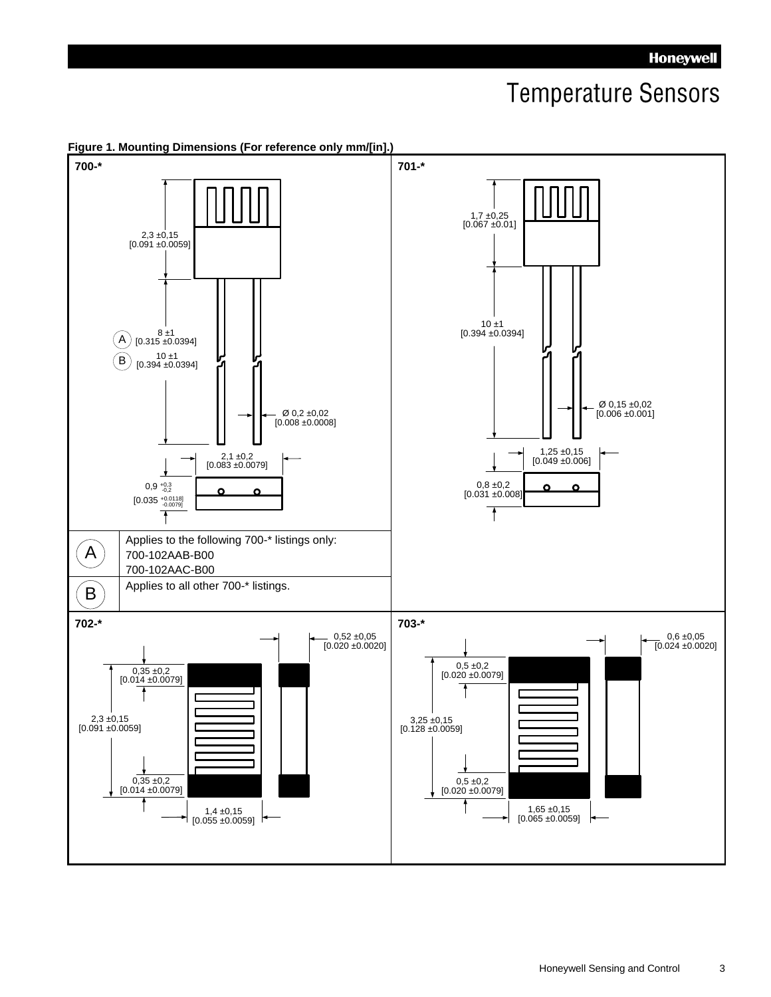## **Temperature Sensors**



**Figure 1. Mounting Dimensions (For reference only mm/[in].)**